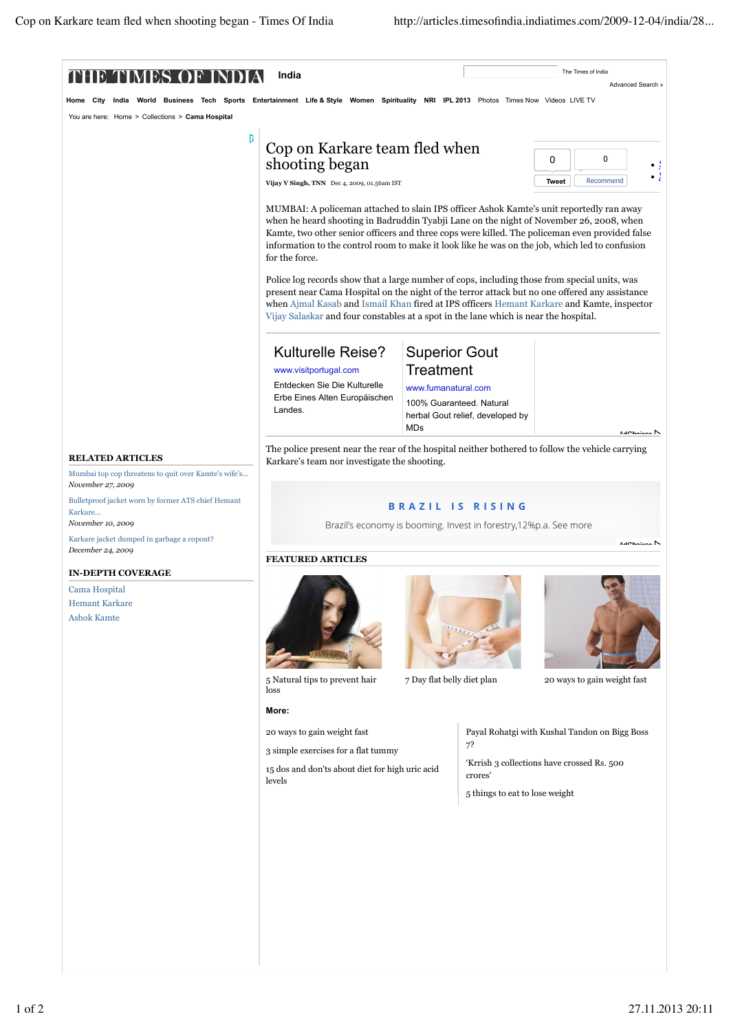